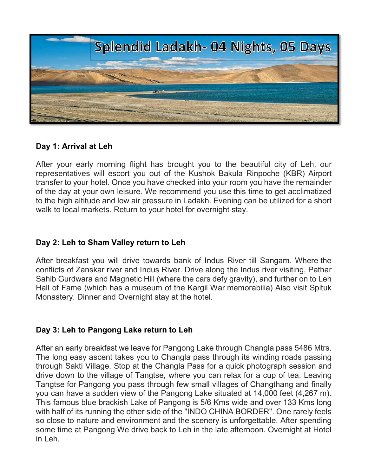

# Day 1: Arrival at Leh

After your early morning flight has brought you to the beautiful city of Leh, our representatives will escort you out of the Kushok Bakula Rinpoche (KBR) Airport transfer to your hotel. Once you have checked into your room you have the remainder of the day at your own leisure. We recommend you use this time to get acclimatized to the high altitude and low air pressure in Ladakh. Evening can be utilized for a short walk to local markets. Return to your hotel for overnight stay.

## Day 2: Leh to Sham Valley return to Leh

After breakfast you will drive towards bank of Indus River till Sangam. Where the conflicts of Zanskar river and Indus River. Drive along the Indus river visiting, Pathar Sahib Gurdwara and Magnetic Hill (where the cars defy gravity), and further on to Leh Hall of Fame (which has a museum of the Kargil War memorabilia) Also visit Spituk Monastery. Dinner and Overnight stay at the hotel.

# Day 3: Leh to Pangong Lake return to Leh

After an early breakfast we leave for Pangong Lake through Changla pass 5486 Mtrs. The long easy ascent takes you to Changla pass through its winding roads passing through Sakti Village. Stop at the Changla Pass for a quick photograph session and drive down to the village of Tangtse, where you can relax for a cup of tea. Leaving Tangtse for Pangong you pass through few small villages of Changthang and finally you can have a sudden view of the Pangong Lake situated at 14,000 feet (4,267 m). This famous blue brackish Lake of Pangong is 5/6 Kms wide and over 133 Kms long with half of its running the other side of the "INDO CHINA BORDER". One rarely feels so close to nature and environment and the scenery is unforgettable. After spending some time at Pangong We drive back to Leh in the late afternoon. Overnight at Hotel in Leh.